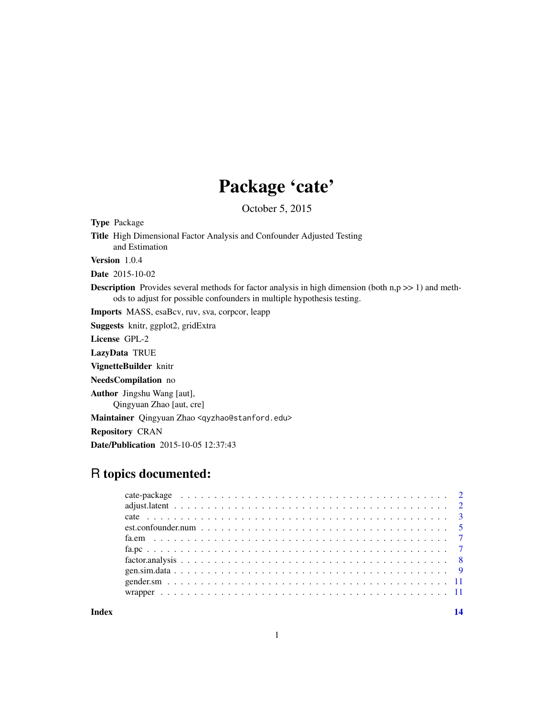## Package 'cate'

October 5, 2015

<span id="page-0-0"></span>Type Package

Title High Dimensional Factor Analysis and Confounder Adjusted Testing and Estimation Version 1.0.4

Date 2015-10-02

**Description** Provides several methods for factor analysis in high dimension (both  $n, p \gg 1$ ) and methods to adjust for possible confounders in multiple hypothesis testing.

Imports MASS, esaBcv, ruv, sva, corpcor, leapp

Suggests knitr, ggplot2, gridExtra

License GPL-2

LazyData TRUE

VignetteBuilder knitr

NeedsCompilation no

Author Jingshu Wang [aut], Qingyuan Zhao [aut, cre]

Maintainer Qingyuan Zhao <qyzhao@stanford.edu>

Repository CRAN

Date/Publication 2015-10-05 12:37:43

## R topics documented:

**Index** 2008 **[14](#page-13-0)**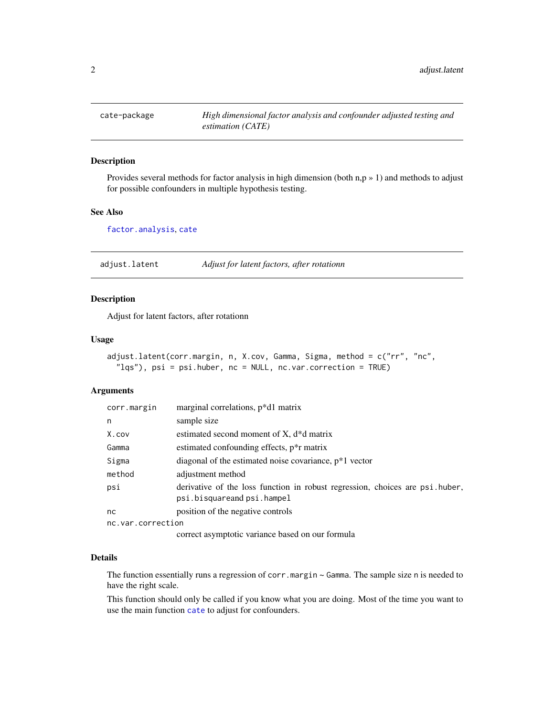<span id="page-1-0"></span>

## Description

Provides several methods for factor analysis in high dimension (both n,p » 1) and methods to adjust for possible confounders in multiple hypothesis testing.

## See Also

[factor.analysis](#page-7-1), [cate](#page-2-1)

adjust.latent *Adjust for latent factors, after rotationn*

## Description

Adjust for latent factors, after rotationn

#### Usage

```
adjust.latent(corr.margin, n, X.cov, Gamma, Sigma, method = c("rr", "nc",
  "lqs"), psi = psi.huber, nc = NULL, nc.var.correction = TRUE)
```
#### **Arguments**

| corr.margin       | marginal correlations, p*d1 matrix                                                                         |
|-------------------|------------------------------------------------------------------------------------------------------------|
| n                 | sample size                                                                                                |
| X.cov             | estimated second moment of $X$ , $d * d$ matrix                                                            |
| Gamma             | estimated confounding effects, $p^*r$ matrix                                                               |
| Sigma             | diagonal of the estimated noise covariance, $p*1$ vector                                                   |
| method            | adjustment method                                                                                          |
| psi               | derivative of the loss function in robust regression, choices are psi.huber,<br>psi.bisquareand psi.hampel |
| nc                | position of the negative controls                                                                          |
| nc.var.correction |                                                                                                            |
|                   | correct asymptotic variance based on our formula                                                           |

## Details

The function essentially runs a regression of corr.margin  $\sim$  Gamma. The sample size n is needed to have the right scale.

This function should only be called if you know what you are doing. Most of the time you want to use the main function [cate](#page-2-1) to adjust for confounders.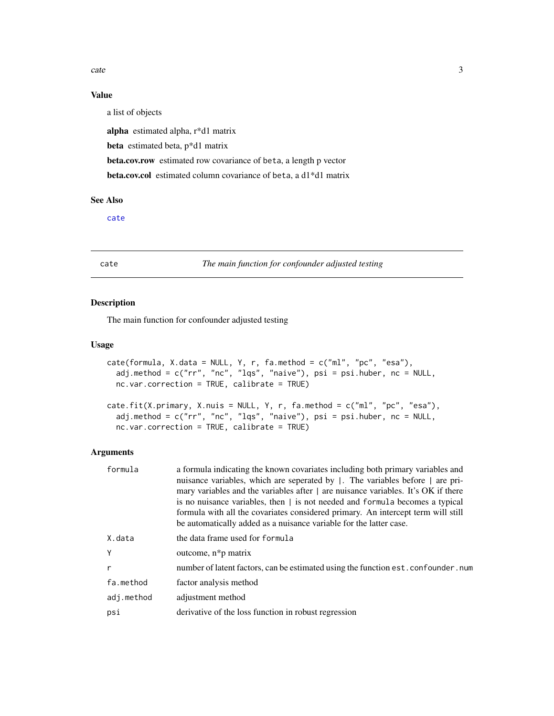<span id="page-2-0"></span>cate 3

## Value

a list of objects

alpha estimated alpha, r\*d1 matrix

beta estimated beta, p\*d1 matrix

beta.cov.row estimated row covariance of beta, a length p vector

beta.cov.col estimated column covariance of beta, a d1\*d1 matrix

## See Also

[cate](#page-2-1)

<span id="page-2-1"></span>cate *The main function for confounder adjusted testing*

## Description

The main function for confounder adjusted testing

#### Usage

```
cate(formula, X.data = NULL, Y, r, fa.method = c("ml", "pc", "esa"),
  adj.method = c("rr", "nc", "lqs", "naive"), psi = psi.huber, nc = NULL,
 nc.var.correction = TRUE, calibrate = TRUE)
```

```
cate.fit(X.primary, X.nuis = NULL, Y, r, fa.method = c("ml", "pc", "esa"),
  adj.method = c("rr", "nc", "lqs", "naive"), psi = psi.huber, nc = NULL,
  nc.var.correction = TRUE, calibrate = TRUE)
```
## Arguments

| formula      | a formula indicating the known covariates including both primary variables and<br>nuisance variables, which are seperated by  . The variables before   are pri-<br>mary variables and the variables after $\vert$ are nuisance variables. It's OK if there<br>is no nuisance variables, then $\vert$ is not needed and formula becomes a typical<br>formula with all the covariates considered primary. An intercept term will still<br>be automatically added as a nuisance variable for the latter case. |
|--------------|------------------------------------------------------------------------------------------------------------------------------------------------------------------------------------------------------------------------------------------------------------------------------------------------------------------------------------------------------------------------------------------------------------------------------------------------------------------------------------------------------------|
| X.data       | the data frame used for formula                                                                                                                                                                                                                                                                                                                                                                                                                                                                            |
| Y            | outcome, $n * p$ matrix                                                                                                                                                                                                                                                                                                                                                                                                                                                                                    |
| $\mathsf{r}$ | number of latent factors, can be estimated using the function est. confounder. num                                                                                                                                                                                                                                                                                                                                                                                                                         |
| fa.method    | factor analysis method                                                                                                                                                                                                                                                                                                                                                                                                                                                                                     |
| adj.method   | adjustment method                                                                                                                                                                                                                                                                                                                                                                                                                                                                                          |
| psi          | derivative of the loss function in robust regression                                                                                                                                                                                                                                                                                                                                                                                                                                                       |
|              |                                                                                                                                                                                                                                                                                                                                                                                                                                                                                                            |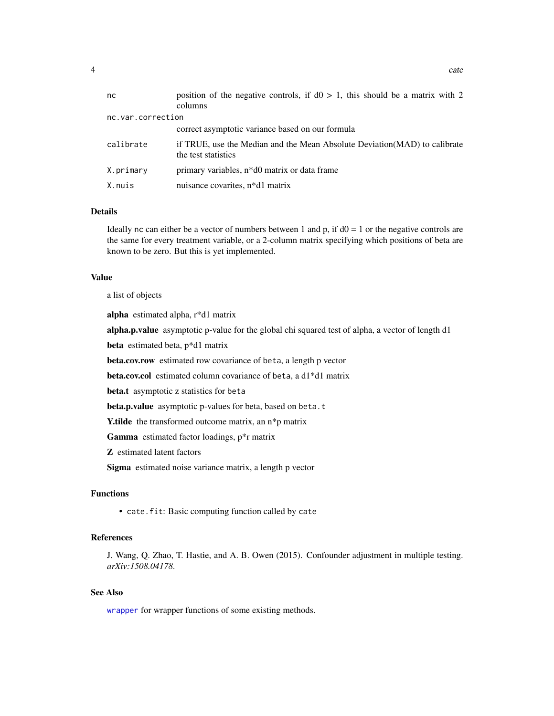<span id="page-3-0"></span>

| nc                | position of the negative controls, if $d0 > 1$ , this should be a matrix with 2<br>columns        |
|-------------------|---------------------------------------------------------------------------------------------------|
| nc.var.correction |                                                                                                   |
|                   | correct asymptotic variance based on our formula                                                  |
| calibrate         | if TRUE, use the Median and the Mean Absolute Deviation (MAD) to calibrate<br>the test statistics |
| X.primary         | primary variables, n <sup>*</sup> d0 matrix or data frame                                         |
| X.nuis            | nuisance covarites, n*d1 matrix                                                                   |

#### Details

Ideally nc can either be a vector of numbers between 1 and p, if  $d0 = 1$  or the negative controls are the same for every treatment variable, or a 2-column matrix specifying which positions of beta are known to be zero. But this is yet implemented.

#### Value

a list of objects

alpha estimated alpha, r\*d1 matrix

alpha.p.value asymptotic p-value for the global chi squared test of alpha, a vector of length d1

beta estimated beta, p\*d1 matrix

beta.cov.row estimated row covariance of beta, a length p vector

beta.cov.col estimated column covariance of beta, a d1\*d1 matrix

beta.t asymptotic z statistics for beta

beta.p.value asymptotic p-values for beta, based on beta.t

Y.tilde the transformed outcome matrix, an n\*p matrix

Gamma estimated factor loadings, p\*r matrix

Z estimated latent factors

Sigma estimated noise variance matrix, a length p vector

## Functions

• cate.fit: Basic computing function called by cate

## References

J. Wang, Q. Zhao, T. Hastie, and A. B. Owen (2015). Confounder adjustment in multiple testing. *arXiv:1508.04178*.

## See Also

[wrapper](#page-10-1) for wrapper functions of some existing methods.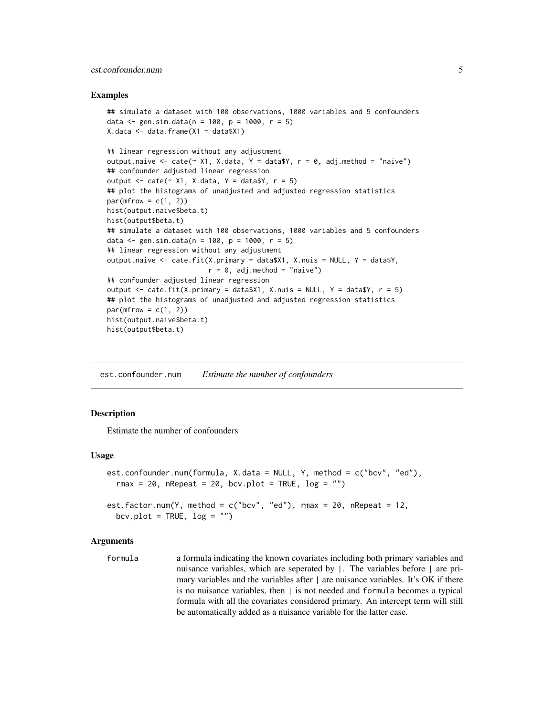## <span id="page-4-0"></span>est.confounder.num 5

#### Examples

```
## simulate a dataset with 100 observations, 1000 variables and 5 confounders
data \le- gen.sim.data(n = 100, p = 1000, r = 5)
X.data \leftarrow data.findm (X1 = data $X1)## linear regression without any adjustment
output.naive <- cate(\sim X1, X.data, Y = data$Y, r = 0, adj.method = "naive")
## confounder adjusted linear regression
output \leq cate(\leq X1, X.data, Y = data$Y, r = 5)
## plot the histograms of unadjusted and adjusted regression statistics
par(mfrow = c(1, 2))hist(output.naive$beta.t)
hist(output$beta.t)
## simulate a dataset with 100 observations, 1000 variables and 5 confounders
data \le gen.sim.data(n = 100, p = 1000, r = 5)
## linear regression without any adjustment
output.naive <- cate.fit(X.primary = data$X1, X.nuis = NULL, Y = data$Y,
                         r = 0, adj.method = "naive")
## confounder adjusted linear regression
output \le cate.fit(X.primary = data$X1, X.nuis = NULL, Y = data$Y, r = 5)
## plot the histograms of unadjusted and adjusted regression statistics
par(mfrow = c(1, 2))hist(output.naive$beta.t)
hist(output$beta.t)
```
est.confounder.num *Estimate the number of confounders*

#### Description

Estimate the number of confounders

#### Usage

```
est.confounder.num(formula, X.data = NULL, Y, method = c("bcv", "ed"),
  rmax = 20, nRepeat = 20, bcv.plot = TRUE, log = "")est.factor.num(Y, method = c("bcv", "ed"), rmax = 20, nRepeat = 12,
  bcv.plot = TRUE, log = "")
```
#### Arguments

formula a formula indicating the known covariates including both primary variables and nuisance variables, which are seperated by |. The variables before | are primary variables and the variables after  $\parallel$  are nuisance variables. It's OK if there is no nuisance variables, then | is not needed and formula becomes a typical formula with all the covariates considered primary. An intercept term will still be automatically added as a nuisance variable for the latter case.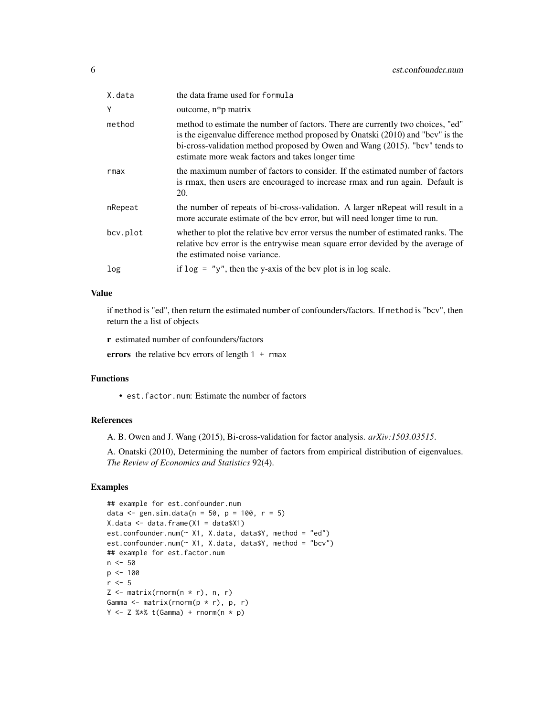| X.data   | the data frame used for formula                                                                                                                                                                                                                                                                       |
|----------|-------------------------------------------------------------------------------------------------------------------------------------------------------------------------------------------------------------------------------------------------------------------------------------------------------|
| Y        | outcome, n*p matrix                                                                                                                                                                                                                                                                                   |
| method   | method to estimate the number of factors. There are currently two choices, "ed"<br>is the eigenvalue difference method proposed by Onatski (2010) and "bcv" is the<br>bi-cross-validation method proposed by Owen and Wang (2015). "bcv" tends to<br>estimate more weak factors and takes longer time |
| rmax     | the maximum number of factors to consider. If the estimated number of factors<br>is rmax, then users are encouraged to increase rmax and run again. Default is<br>20.                                                                                                                                 |
| nRepeat  | the number of repeats of bi-cross-validation. A larger nRepeat will result in a<br>more accurate estimate of the bcv error, but will need longer time to run.                                                                                                                                         |
| bcv.plot | whether to plot the relative bcv error versus the number of estimated ranks. The<br>relative bcv error is the entrywise mean square error devided by the average of<br>the estimated noise variance.                                                                                                  |
| log      | if $\log =$ "y", then the y-axis of the bcv plot is in log scale.                                                                                                                                                                                                                                     |

## Value

if method is "ed", then return the estimated number of confounders/factors. If method is "bcv", then return the a list of objects

r estimated number of confounders/factors

errors the relative bcv errors of length 1 + rmax

## Functions

• est.factor.num: Estimate the number of factors

## References

A. B. Owen and J. Wang (2015), Bi-cross-validation for factor analysis. *arXiv:1503.03515*.

A. Onatski (2010), Determining the number of factors from empirical distribution of eigenvalues. *The Review of Economics and Statistics* 92(4).

## Examples

```
## example for est.confounder.num
data \le gen.sim.data(n = 50, p = 100, r = 5)
X.data \leftarrow data.findm (X1 = data $X1)est.confounder.num(~ X1, X.data, data$Y, method = "ed")
est.confounder.num(~ X1, X.data, data$Y, method = "bcv")
## example for est.factor.num
n <- 50
p <- 100
r < -5Z \leftarrow \text{matrix}(rnorm(n * r), n, r)Gamma \leq matrix(rnorm(p * r), p, r)
Y \leftarrow Z %*% t(Gamma) + rnorm(n * p)
```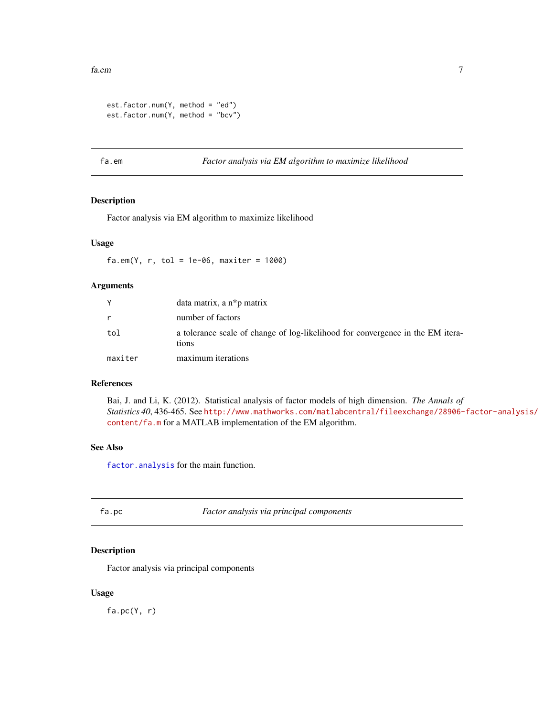```
est.factor.num(Y, method = "ed")
est.factor.num(Y, method = "bcv")
```
<span id="page-6-2"></span>fa.em *Factor analysis via EM algorithm to maximize likelihood*

## Description

Factor analysis via EM algorithm to maximize likelihood

## Usage

 $fa.em(Y, r, tol = 1e-06, maxiter = 1000)$ 

#### Arguments

|         | data matrix, a $n * p$ matrix                                                           |
|---------|-----------------------------------------------------------------------------------------|
| r       | number of factors                                                                       |
| tol     | a tolerance scale of change of log-likelihood for convergence in the EM itera-<br>tions |
| maxiter | maximum iterations                                                                      |

## References

Bai, J. and Li, K. (2012). Statistical analysis of factor models of high dimension. *The Annals of Statistics 40*, 436-465. See [http://www.mathworks.com/matlabcentral/fileexchange/28906-](http://www.mathworks.com/matlabcentral/fileexchange/28906-factor-analysis/content/fa.m)factor-analysis/ [content/fa.m](http://www.mathworks.com/matlabcentral/fileexchange/28906-factor-analysis/content/fa.m) for a MATLAB implementation of the EM algorithm.

## See Also

[factor.analysis](#page-7-1) for the main function.

<span id="page-6-1"></span>fa.pc *Factor analysis via principal components*

## Description

Factor analysis via principal components

## Usage

 $fa.pc(Y, r)$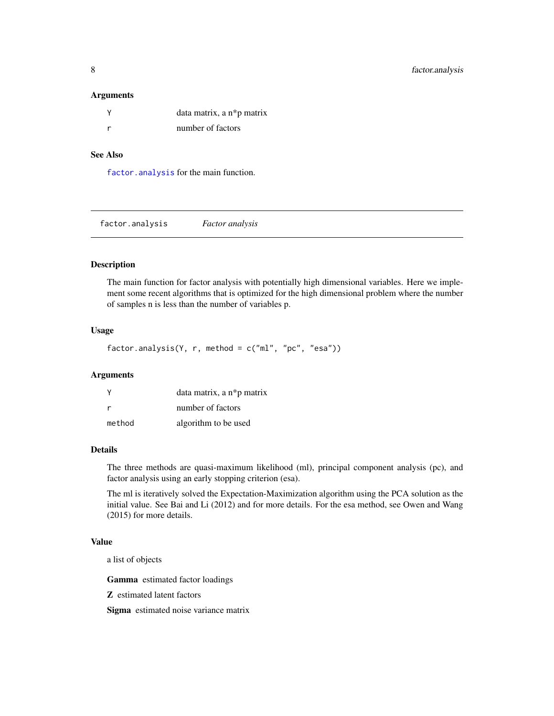#### <span id="page-7-0"></span>**Arguments**

| data matrix, a n*p matrix |
|---------------------------|
| number of factors         |

## See Also

[factor.analysis](#page-7-1) for the main function.

<span id="page-7-1"></span>factor.analysis *Factor analysis*

## Description

The main function for factor analysis with potentially high dimensional variables. Here we implement some recent algorithms that is optimized for the high dimensional problem where the number of samples n is less than the number of variables p.

## Usage

factor.analysis(Y, r, method = c("ml", "pc", "esa"))

#### Arguments

|        | data matrix, a n*p matrix |
|--------|---------------------------|
| r      | number of factors         |
| method | algorithm to be used      |

## Details

The three methods are quasi-maximum likelihood (ml), principal component analysis (pc), and factor analysis using an early stopping criterion (esa).

The ml is iteratively solved the Expectation-Maximization algorithm using the PCA solution as the initial value. See Bai and Li (2012) and for more details. For the esa method, see Owen and Wang (2015) for more details.

## Value

a list of objects

Gamma estimated factor loadings

Z estimated latent factors

Sigma estimated noise variance matrix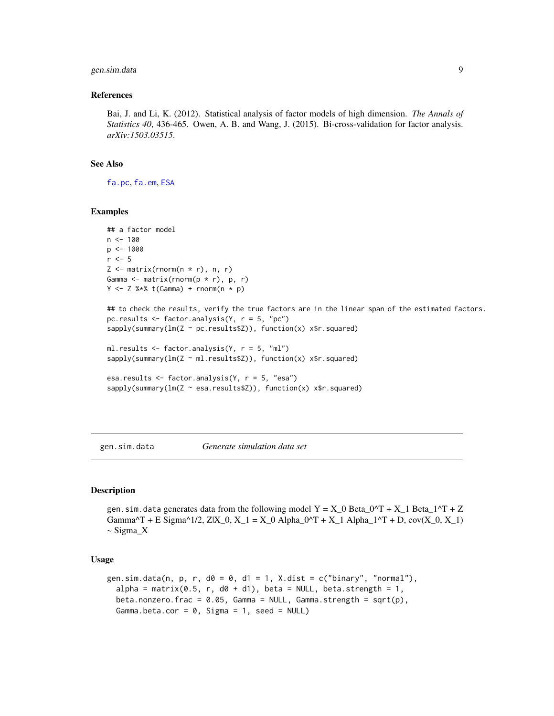## <span id="page-8-0"></span>gen.sim.data 9

#### References

Bai, J. and Li, K. (2012). Statistical analysis of factor models of high dimension. *The Annals of Statistics 40*, 436-465. Owen, A. B. and Wang, J. (2015). Bi-cross-validation for factor analysis. *arXiv:1503.03515*.

#### See Also

[fa.pc](#page-6-1), [fa.em](#page-6-2), [ESA](#page-0-0)

#### Examples

```
## a factor model
n < - 100p <- 1000
r \leq -5Z \leq matrix(rnorm(n * r), n, r)
Gamma \leq matrix(rnorm(p * r), p, r)
Y \leftarrow Z %*% t(Gamma) + rnorm(n * p)
## to check the results, verify the true factors are in the linear span of the estimated factors.
pc.results <- factor.analysis(Y, r = 5, "pc")
sapply(summary(lm(Z ~ pc.results$Z)), function(x) x$r.squared)
ml.results <- factor.analysis(Y, r = 5, "ml")
sapply(summary(lm(Z ~ ml.results$Z)), function(x) x$r.squared)
esa.results <- factor.analysis(Y, r = 5, "esa")
sapply(summary(lm(Z ~ esa.results$Z)), function(x) x$r.squared)
```
gen.sim.data *Generate simulation data set*

#### Description

gen.sim.data generates data from the following model  $Y = X_0$  Beta\_0^T + X\_1 Beta\_1^T + Z Gamma^T + E Sigma^1/2, Z|X\_0, X\_1 = X\_0 Alpha\_0^T + X\_1 Alpha\_1^T + D,  $cov(X_0, X_1)$ ~ Sigma\_X

#### Usage

```
gen.sim.data(n, p, r, d0 = 0, d1 = 1, X.dist = c("binary", "normal"),alpha = matrix(0.5, r, d0 + d1), beta = NULL, beta.strength = 1,
 beta.nonzero.frac = 0.05, Gamma = NULL, Gamma.strength = sqrt(p),
  Gamma.beta.cor = 0, Sigma = 1, seed = NULL)
```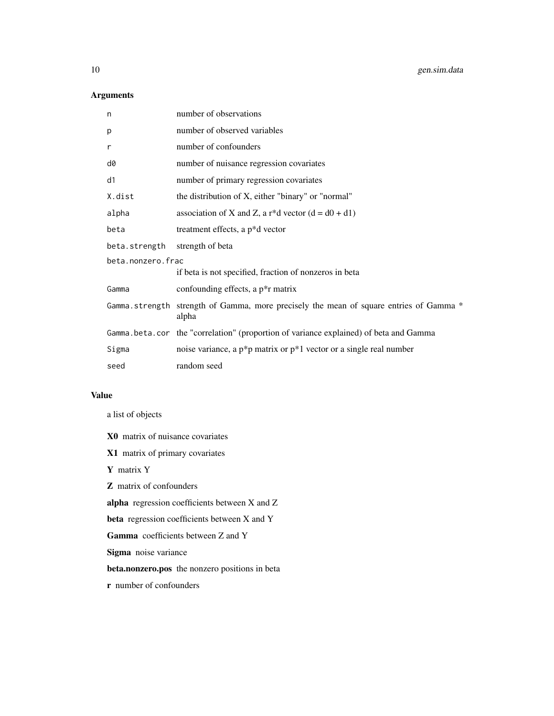## Arguments

| n                 | number of observations                                                                          |  |
|-------------------|-------------------------------------------------------------------------------------------------|--|
| p                 | number of observed variables                                                                    |  |
| r                 | number of confounders                                                                           |  |
| d0                | number of nuisance regression covariates                                                        |  |
| d1                | number of primary regression covariates                                                         |  |
| X.dist            | the distribution of X, either "binary" or "normal"                                              |  |
| alpha             | association of X and Z, a r <sup>*</sup> d vector $(d = d0 + d1)$                               |  |
| beta              | treatment effects, a p*d vector                                                                 |  |
| beta.strength     | strength of beta                                                                                |  |
| beta.nonzero.frac |                                                                                                 |  |
|                   | if beta is not specified, fraction of nonzeros in beta                                          |  |
| Gamma             | confounding effects, a p <sup>*</sup> r matrix                                                  |  |
|                   | Gamma strength strength of Gamma, more precisely the mean of square entries of Gamma *<br>alpha |  |
|                   | Gamma.beta.cor the "correlation" (proportion of variance explained) of beta and Gamma           |  |
| Sigma             | noise variance, a $p^*p$ matrix or $p^*1$ vector or a single real number                        |  |
| seed              | random seed                                                                                     |  |

#### Value

a list of objects

X0 matrix of nuisance covariates

X1 matrix of primary covariates

Y matrix Y

Z matrix of confounders

alpha regression coefficients between X and Z

beta regression coefficients between X and Y

Gamma coefficients between Z and Y

Sigma noise variance

beta.nonzero.pos the nonzero positions in beta

r number of confounders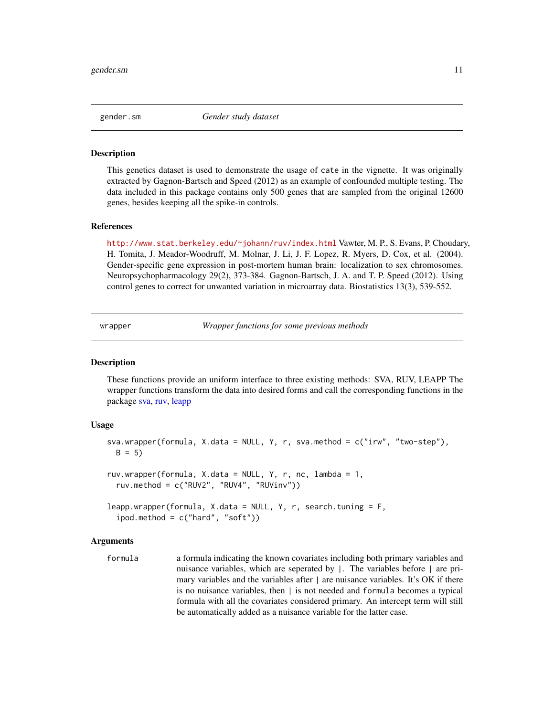<span id="page-10-0"></span>gender.sm *Gender study dataset*

## Description

This genetics dataset is used to demonstrate the usage of cate in the vignette. It was originally extracted by Gagnon-Bartsch and Speed (2012) as an example of confounded multiple testing. The data included in this package contains only 500 genes that are sampled from the original 12600 genes, besides keeping all the spike-in controls.

#### References

<http://www.stat.berkeley.edu/~johann/ruv/index.html> Vawter, M. P., S. Evans, P. Choudary, H. Tomita, J. Meador-Woodruff, M. Molnar, J. Li, J. F. Lopez, R. Myers, D. Cox, et al. (2004). Gender-specific gene expression in post-mortem human brain: localization to sex chromosomes. Neuropsychopharmacology 29(2), 373-384. Gagnon-Bartsch, J. A. and T. P. Speed (2012). Using control genes to correct for unwanted variation in microarray data. Biostatistics 13(3), 539-552.

<span id="page-10-1"></span>wrapper *Wrapper functions for some previous methods*

#### Description

These functions provide an uniform interface to three existing methods: SVA, RUV, LEAPP The wrapper functions transform the data into desired forms and call the corresponding functions in the package [sva,](#page-0-0) [ruv,](#page-0-0) [leapp](#page-0-0)

#### Usage

```
sva.wrapper(formula, X.data = NULL, Y, r, sva.method = c("irw", "two-step"),
 B = 5ruv.wrapper(formula, X.data = NULL, Y, r, nc, lambda = 1,
  ruv.method = c("RUV2", "RUV4", "RUVinv"))
leapp.wrapper(formula, X.data = NULL, Y, r, search.tuning = F,ipod.method = c("hard", "soft"))
```
#### Arguments

formula a formula indicating the known covariates including both primary variables and nuisance variables, which are seperated by |. The variables before | are primary variables and the variables after  $\parallel$  are nuisance variables. It's OK if there is no nuisance variables, then | is not needed and formula becomes a typical formula with all the covariates considered primary. An intercept term will still be automatically added as a nuisance variable for the latter case.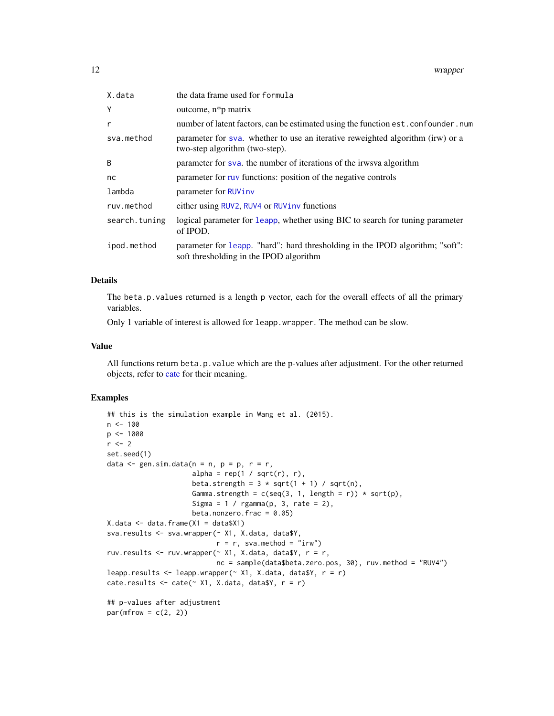<span id="page-11-0"></span>

| X.data        | the data frame used for formula                                                                                          |  |
|---------------|--------------------------------------------------------------------------------------------------------------------------|--|
| Υ             | outcome, $n * p$ matrix                                                                                                  |  |
| r             | number of latent factors, can be estimated using the function est. confounder. num                                       |  |
| sva.method    | parameter for sya. whether to use an iterative reweighted algorithm (irw) or a<br>two-step algorithm (two-step).         |  |
| B             | parameter for sva. the number of iterations of the irwsva algorithm                                                      |  |
| nc            | parameter for ruy functions: position of the negative controls                                                           |  |
| lambda        | parameter for RUVinv                                                                                                     |  |
| ruv.method    | either using RUV2, RUV4 or RUViny functions                                                                              |  |
| search.tuning | logical parameter for leapp, whether using BIC to search for tuning parameter<br>of IPOD.                                |  |
| ipod.method   | parameter for leapp. "hard": hard thresholding in the IPOD algorithm; "soft":<br>soft thresholding in the IPOD algorithm |  |

## Details

The beta.p.values returned is a length p vector, each for the overall effects of all the primary variables.

Only 1 variable of interest is allowed for leapp.wrapper. The method can be slow.

#### Value

All functions return beta.p.value which are the p-values after adjustment. For the other returned objects, refer to [cate](#page-2-1) for their meaning.

## Examples

```
## this is the simulation example in Wang et al. (2015).
n < - 100p <- 1000
r <- 2
set.seed(1)
data \leq gen.sim.data(n = n, p = p, r = r,
                      alpha = rep(1 / sqrt(r), r),
                      beta.strength = 3 * sqrt(1 + 1) / sqrt(n),
                      Gamma.strength = c(seq(3, 1, length = r)) * sqrt(p),
                      Sigma = 1 / \text{rgamma}(p, 3, rate = 2),
                     beta.nonzero.frac = 0.05)
X.data \leftarrow data.frame(X1 = data$X1)sva.results <- sva.wrapper(~ X1, X.data, data$Y,
                            r = r, sva.method = "irw")
ruv.results <- ruv.wrapper(\sim X1, X.data, data$Y, r = r,
                            nc = sample(data$beta.zero.pos, 30), ruv.method = "RUV4")
leapp.results \leq leapp.wrapper(\leq X1, X.data, data$Y, r = r)
cate.results \leq cate(\leq X1, X.data, data$Y, r = r)
## p-values after adjustment
par(mfrow = c(2, 2))
```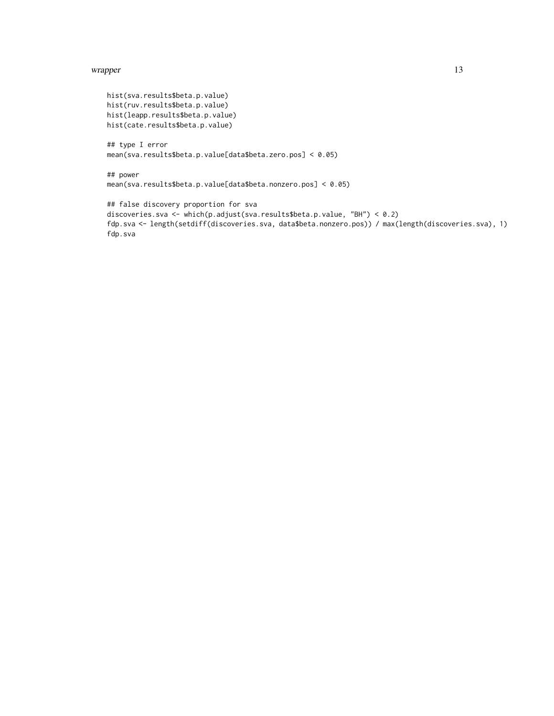#### wrapper and the state of the state of the state of the state of the state of the state of the state of the state of the state of the state of the state of the state of the state of the state of the state of the state of th

```
hist(sva.results$beta.p.value)
hist(ruv.results$beta.p.value)
hist(leapp.results$beta.p.value)
hist(cate.results$beta.p.value)
```

```
## type I error
mean(sva.results$beta.p.value[data$beta.zero.pos] < 0.05)
```

```
## power
mean(sva.results$beta.p.value[data$beta.nonzero.pos] < 0.05)
```

```
## false discovery proportion for sva
discoveries.sva <- which(p.adjust(sva.results$beta.p.value, "BH") < 0.2)
fdp.sva <- length(setdiff(discoveries.sva, data$beta.nonzero.pos)) / max(length(discoveries.sva), 1)
fdp.sva
```